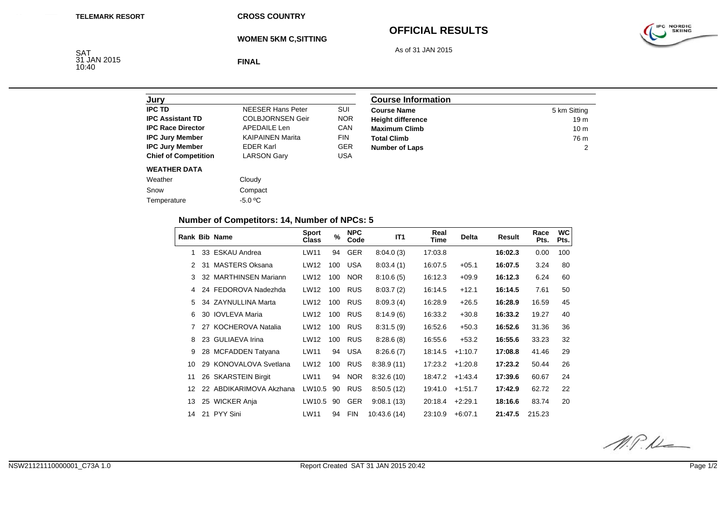**CROSS COUNTRY**

**WOMEN 5KM C,SITTING**

# **OFFICIAL RESULTS**

As of 31 JAN 2015

IPC NORDIC

SAT 31 JAN 2015 10:40

**FINAL**

| Jury                        |                          |            |
|-----------------------------|--------------------------|------------|
| <b>IPC TD</b>               | <b>NEESER Hans Peter</b> | SUI        |
| <b>IPC Assistant TD</b>     | <b>COLBJORNSEN Geir</b>  | <b>NOR</b> |
| <b>IPC Race Director</b>    | <b>APEDAILE Len</b>      | CAN        |
| <b>IPC Jury Member</b>      | <b>KAIPAINEN Marita</b>  | <b>FIN</b> |
| <b>IPC Jury Member</b>      | <b>FDFR Karl</b>         | <b>GER</b> |
| <b>Chief of Competition</b> | <b>LARSON Gary</b>       | USA        |
| <b>WEATHER DATA</b>         |                          |            |
| Weather                     | Cloudy                   |            |
| Snow                        | Compact                  |            |
| Temperature                 | $-5.0 °C$                |            |

| <b>Course Information</b> |                 |  |  |  |
|---------------------------|-----------------|--|--|--|
| <b>Course Name</b>        | 5 km Sitting    |  |  |  |
| <b>Height difference</b>  | 19 <sub>m</sub> |  |  |  |
| <b>Maximum Climb</b>      | 10 <sub>m</sub> |  |  |  |
| <b>Total Climb</b>        | 76 m            |  |  |  |
| <b>Number of Laps</b>     |                 |  |  |  |

## **Number of Competitors: 14, Number of NPCs: 5**

|               |    | <b>Rank Bib Name</b>    | <b>Sport</b><br><b>Class</b> | $\frac{9}{6}$ | <b>NPC</b><br>Code | IT <sub>1</sub> | Real<br>Time | <b>Delta</b> | <b>Result</b> | Race<br>Pts. | <b>WC</b><br>Pts. |
|---------------|----|-------------------------|------------------------------|---------------|--------------------|-----------------|--------------|--------------|---------------|--------------|-------------------|
|               |    | 33 ESKAU Andrea         | LW11                         | 94            | <b>GER</b>         | 8:04.0(3)       | 17:03.8      |              | 16:02.3       | 0.00         | 100               |
| $\mathcal{P}$ | 31 | <b>MASTERS Oksana</b>   | LW12                         | 100           | <b>USA</b>         | 8.03.4(1)       | 16:07.5      | $+05.1$      | 16:07.5       | 3.24         | 80                |
| 3             |    | 32 MARTHINSEN Mariann   | LW12                         | 100           | <b>NOR</b>         | 8:10.6(5)       | 16:12.3      | $+09.9$      | 16:12.3       | 6.24         | 60                |
| 4             |    | 24 FEDOROVA Nadezhda    | LW12                         | 100           | <b>RUS</b>         | 8:03.7(2)       | 16:14.5      | $+12.1$      | 16:14.5       | 7.61         | 50                |
| 5.            |    | 34 ZAYNULLINA Marta     | LW12                         | 100           | <b>RUS</b>         | 8.09.3(4)       | 16:28.9      | $+26.5$      | 16:28.9       | 16.59        | 45                |
| 6             |    | 30 IOVLEVA Maria        | LW12                         | 100           | <b>RUS</b>         | 8:14.9(6)       | 16:33.2      | $+30.8$      | 16:33.2       | 19.27        | 40                |
|               |    | 27 KOCHEROVA Natalia    | LW12                         | 100           | <b>RUS</b>         | 8:31.5(9)       | 16:52.6      | $+50.3$      | 16:52.6       | 31.36        | 36                |
| 8             |    | 23 GULIAEVA Irina       | LW12                         | 100           | <b>RUS</b>         | 8:28.6(8)       | 16:55.6      | $+53.2$      | 16:55.6       | 33.23        | 32                |
| 9             |    | 28 MCFADDEN Tatyana     | LW11                         | 94            | <b>USA</b>         | 8:26.6(7)       | 18:14.5      | $+1:10.7$    | 17:08.8       | 41.46        | 29                |
| 10            |    | 29 KONOVALOVA Svetlana  | LW12                         | 100           | <b>RUS</b>         | 8:38.9(11)      | 17:23.2      | $+1:20.8$    | 17:23.2       | 50.44        | 26                |
| 11            |    | 26 SKARSTEIN Birgit     | LW11                         | 94            | <b>NOR</b>         | 8:32.6(10)      | 18:47.2      | $+1:43.4$    | 17:39.6       | 60.67        | 24                |
| 12            |    | 22 ABDIKARIMOVA Akzhana | LW10.5                       | 90            | <b>RUS</b>         | 8:50.5(12)      | 19:41.0      | $+1:51.7$    | 17:42.9       | 62.72        | 22                |
| 13            |    | 25 WICKER Anja          | LW10.5                       | 90            | <b>GER</b>         | 9.08.1(13)      | 20:18.4      | $+2:29.1$    | 18:16.6       | 83.74        | 20                |
| 14            |    | 21 PYY Sini             | LW11                         | 94            | <b>FIN</b>         | 10:43.6 (14)    | 23:10.9      | $+6:07.1$    | 21:47.5       | 215.23       |                   |

 $M.P.L$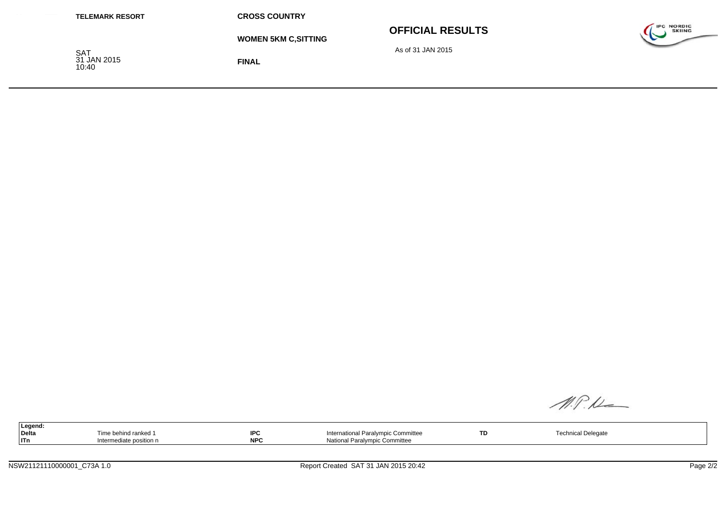| <b>TELEMARK RESORT</b>             | <b>CROSS COUNTRY</b>        |                         |                                    |
|------------------------------------|-----------------------------|-------------------------|------------------------------------|
|                                    | <b>WOMEN 5KM C, SITTING</b> | <b>OFFICIAL RESULTS</b> | <b>IPC NORDIC</b><br><b>SKIING</b> |
| <b>SAT</b><br>31 JAN 2015<br>10:40 | <b>FINAL</b>                | As of 31 JAN 2015       |                                    |

M.P.K

| the contract of the contract of the<br>Legend: |                  |            |                                                           |    |               |  |
|------------------------------------------------|------------------|------------|-----------------------------------------------------------|----|---------------|--|
| <b>Delta</b>                                   | ehind ranked و ∩ | IDC<br>ט⊤ו | International Paralympic Committee                        | TD | ical Delegate |  |
| <b>ITn</b>                                     | <b>COSITION</b>  | <b>NPC</b> | Notion.<br>Paralympic Committee<br>הנו וה<br>inaliuliai F |    |               |  |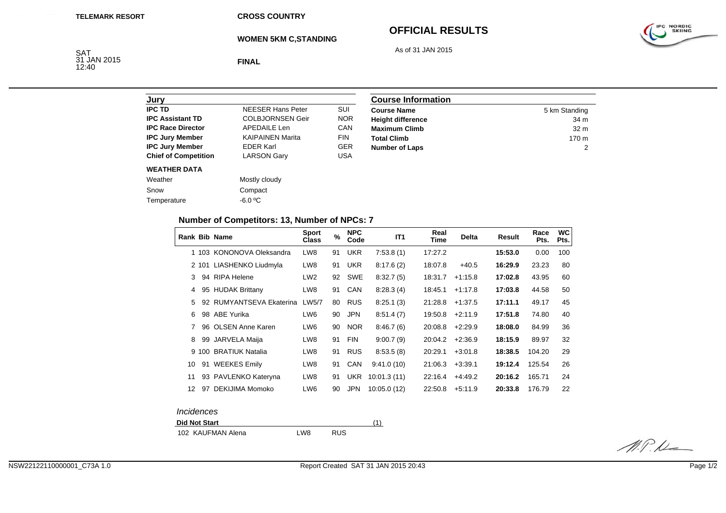**CROSS COUNTRY**

**WOMEN 5KM C,STANDING**

## **OFFICIAL RESULTS**



SAT<br>31 JAN 2015<br>12:40

**FINAL**

| Jury                        |                          |            |
|-----------------------------|--------------------------|------------|
| <b>IPC TD</b>               | <b>NEESER Hans Peter</b> | SUI        |
| <b>IPC Assistant TD</b>     | <b>COLBJORNSEN Geir</b>  | <b>NOR</b> |
| <b>IPC Race Director</b>    | <b>APEDAILE Len</b>      | CAN        |
| <b>IPC Jury Member</b>      | <b>KAIPAINEN Marita</b>  | <b>FIN</b> |
| <b>IPC Jury Member</b>      | <b>EDER Karl</b>         | <b>GER</b> |
| <b>Chief of Competition</b> | <b>LARSON Gary</b>       | USA        |
| <b>WEATHER DATA</b>         |                          |            |
| Weather                     | Mostly cloudy            |            |
| Snow                        | Compact                  |            |
| Temperature                 | $-6.0 °C$                |            |
|                             |                          |            |

| <b>Course Information</b> |                  |  |  |  |
|---------------------------|------------------|--|--|--|
| <b>Course Name</b>        | 5 km Standing    |  |  |  |
| <b>Height difference</b>  | 34 m             |  |  |  |
| <b>Maximum Climb</b>      | 32 <sub>m</sub>  |  |  |  |
| <b>Total Climb</b>        | 170 <sub>m</sub> |  |  |  |
| <b>Number of Laps</b>     |                  |  |  |  |

## **Number of Competitors: 13, Number of NPCs: 7**

|    |    | <b>Rank Bib Name</b>      | <b>Sport</b><br><b>Class</b> | $\%$ | <b>NPC</b><br>Code | IT <sub>1</sub> | Real<br>Time | <b>Delta</b> | Result  | Race<br>Pts. | <b>WC</b><br>Pts. |
|----|----|---------------------------|------------------------------|------|--------------------|-----------------|--------------|--------------|---------|--------------|-------------------|
|    |    | 1 103 KONONOVA Oleksandra | LW <sub>8</sub>              | 91   | <b>UKR</b>         | 7:53.8(1)       | 17:27.2      |              | 15:53.0 | 0.00         | 100               |
|    |    | 2 101 LIASHENKO Liudmyla  | LW8                          | 91   | <b>UKR</b>         | 8:17.6(2)       | 18:07.8      | $+40.5$      | 16:29.9 | 23.23        | 80                |
| 3  |    | 94 RIPA Helene            | LW <sub>2</sub>              | 92   | <b>SWE</b>         | 8.32.7(5)       | 18:31.7      | $+1:15.8$    | 17:02.8 | 43.95        | 60                |
| 4  |    | 95 HUDAK Brittany         | LW8                          | 91   | <b>CAN</b>         | 8:28.3(4)       | 18:45.1      | $+1:17.8$    | 17:03.8 | 44.58        | 50                |
| 5  | 92 | RUMYANTSEVA Ekaterina     | LW5/7                        | 80   | <b>RUS</b>         | 8:25.1(3)       | 21:28.8      | $+1:37.5$    | 17:11.1 | 49.17        | 45                |
| 6  |    | 98 ABE Yurika             | LW <sub>6</sub>              | 90   | <b>JPN</b>         | 8.51.4(7)       | 19:50.8      | $+2:11.9$    | 17:51.8 | 74.80        | 40                |
|    |    | 96 OLSEN Anne Karen       | LW <sub>6</sub>              | 90   | NOR.               | 8:46.7(6)       | 20:08.8      | $+2:29.9$    | 18:08.0 | 84.99        | 36                |
| 8  | 99 | JARVELA Maija             | LW <sub>8</sub>              | 91   | <b>FIN</b>         | 9:00.7(9)       | 20:04.2      | $+2:36.9$    | 18:15.9 | 89.97        | 32                |
|    |    | 9 100 BRATIUK Natalia     | LW8                          | 91   | <b>RUS</b>         | 8:53.5(8)       | 20:29.1      | $+3:01.8$    | 18:38.5 | 104.20       | 29                |
| 10 |    | 91 WEEKES Emily           | LW8                          | 91   | CAN                | 9:41.0(10)      | 21:06.3      | $+3:39.1$    | 19:12.4 | 125.54       | 26                |
| 11 |    | 93 PAVLENKO Kateryna      | LW <sub>8</sub>              | 91   | UKR                | 10:01.3(11)     | 22:16.4      | $+4.49.2$    | 20:16.2 | 165.71       | 24                |
| 12 | 97 | DEKIJIMA Momoko           | LW <sub>6</sub>              | 90   | <b>JPN</b>         | 10:05.0 (12)    | 22:50.8      | $+5:11.9$    | 20:33.8 | 176.79       | 22                |
|    |    |                           |                              |      |                    |                 |              |              |         |              |                   |

| <i><u><b>Incidences</b></u></i> |  |
|---------------------------------|--|
| <b>Did Not Start</b>            |  |

| <b>Did Not Start</b> |     |            |  |  |  |
|----------------------|-----|------------|--|--|--|
| 102 KAUFMAN Alena    | LW8 | <b>RUS</b> |  |  |  |

IPC NORDIC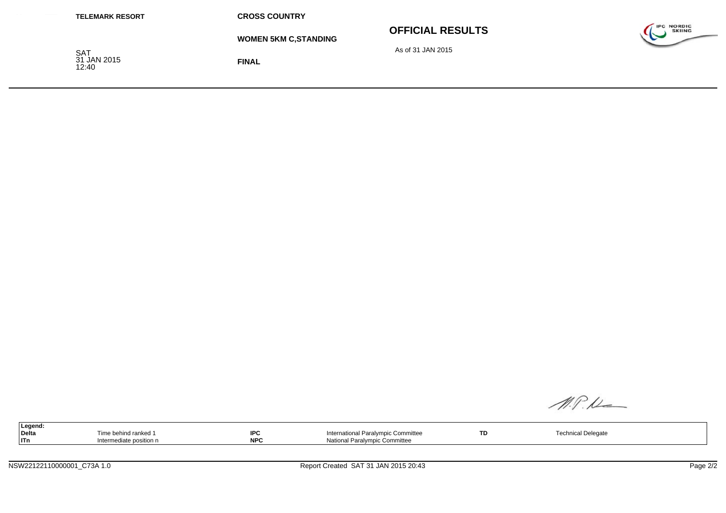| <b>TELEMARK RESORT</b>             | <b>CROSS COUNTRY</b>         |                         |                                          |
|------------------------------------|------------------------------|-------------------------|------------------------------------------|
|                                    | <b>WOMEN 5KM C, STANDING</b> | <b>OFFICIAL RESULTS</b> | <b>IPC NORDIC</b><br><b>SKIING</b><br>~~ |
| <b>SAT</b><br>31 JAN 2015<br>12:40 | <b>FINAL</b>                 | As of 31 JAN 2015       |                                          |

M.P.K

| the contract of the contract of the contract of the contract of the contract of<br>Legend: |                      |                     |                                               |    |                    |
|--------------------------------------------------------------------------------------------|----------------------|---------------------|-----------------------------------------------|----|--------------------|
| Delta                                                                                      | Time behind ranked 1 | <b>IDC</b><br>IF V. | International Paralympic Committee            | ТD | Technical Delegate |
| l ITn                                                                                      | ate position n       | <b>NPC</b>          | alvmpic Committee<br>n<br>Nation <sup>*</sup> |    |                    |